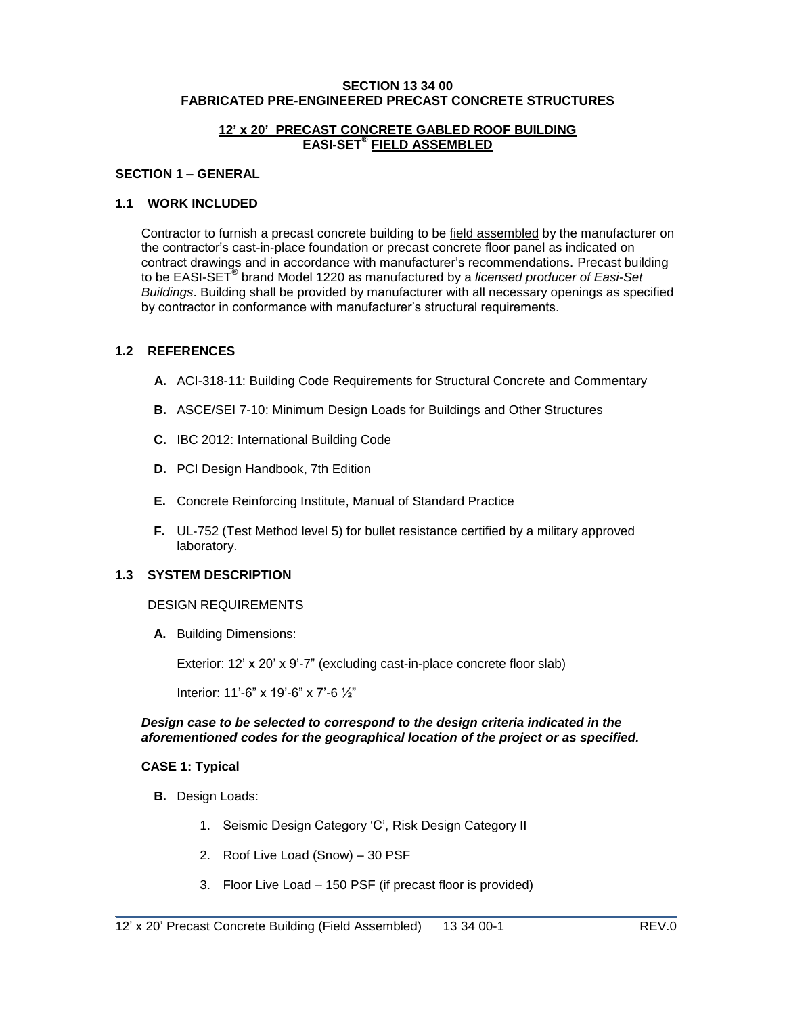#### **SECTION 13 34 00 FABRICATED PRE-ENGINEERED PRECAST CONCRETE STRUCTURES**

#### **12' x 20' PRECAST CONCRETE GABLED ROOF BUILDING EASI-SET® FIELD ASSEMBLED**

#### **SECTION 1 – GENERAL**

## **1.1 WORK INCLUDED**

Contractor to furnish a precast concrete building to be field assembled by the manufacturer on the contractor's cast-in-place foundation or precast concrete floor panel as indicated on contract drawings and in accordance with manufacturer's recommendations. Precast building to be EASI-SET**®** brand Model 1220 as manufactured by a *licensed producer of Easi-Set Buildings*. Building shall be provided by manufacturer with all necessary openings as specified by contractor in conformance with manufacturer's structural requirements.

## **1.2 REFERENCES**

- **A.** ACI-318-11: Building Code Requirements for Structural Concrete and Commentary
- **B.** ASCE/SEI 7-10: Minimum Design Loads for Buildings and Other Structures
- **C.** IBC 2012: International Building Code
- **D.** PCI Design Handbook, 7th Edition
- **E.** Concrete Reinforcing Institute, Manual of Standard Practice
- **F.** UL-752 (Test Method level 5) for bullet resistance certified by a military approved laboratory.

## **1.3 SYSTEM DESCRIPTION**

#### DESIGN REQUIREMENTS

**A.** Building Dimensions:

Exterior: 12' x 20' x 9'-7" (excluding cast-in-place concrete floor slab)

Interior: 11'-6" x 19'-6" x 7'-6 ½"

### *Design case to be selected to correspond to the design criteria indicated in the aforementioned codes for the geographical location of the project or as specified.*

#### **CASE 1: Typical**

- **B.** Design Loads:
	- 1. Seismic Design Category 'C', Risk Design Category II
	- 2. Roof Live Load (Snow) 30 PSF
	- 3. Floor Live Load 150 PSF (if precast floor is provided)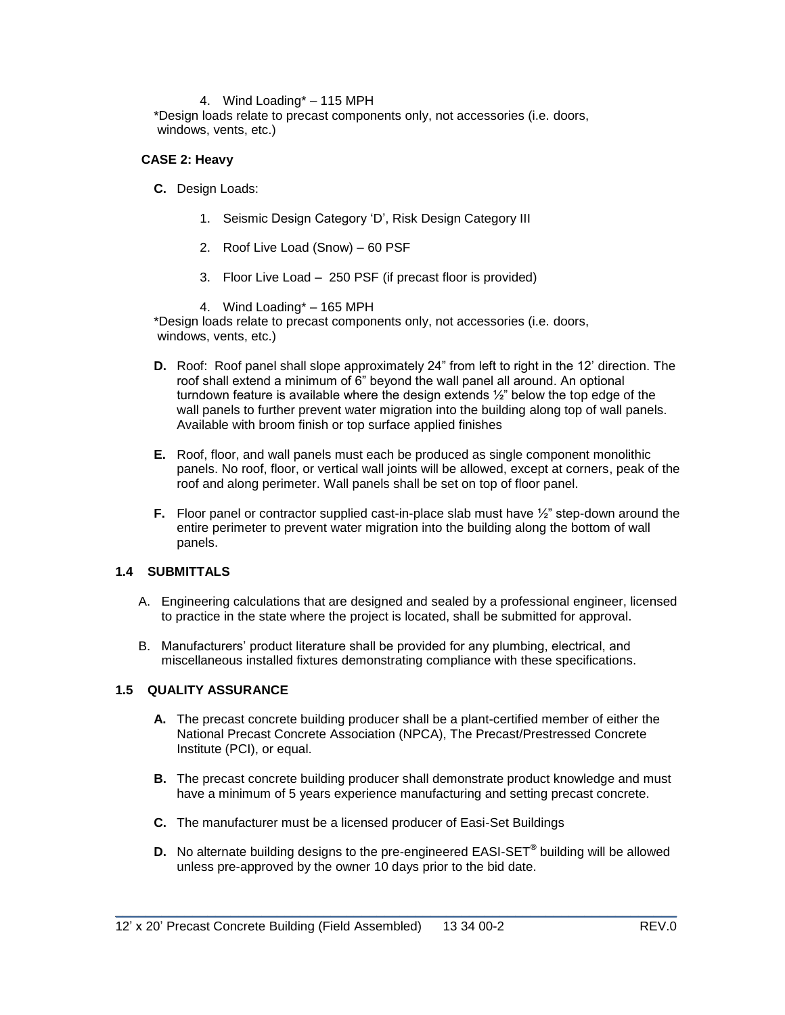#### 4. Wind Loading\* – 115 MPH

\*Design loads relate to precast components only, not accessories (i.e. doors, windows, vents, etc.)

### **CASE 2: Heavy**

- **C.** Design Loads:
	- 1. Seismic Design Category 'D', Risk Design Category III
	- 2. Roof Live Load (Snow) 60 PSF
	- 3. Floor Live Load 250 PSF (if precast floor is provided)
	- 4. Wind Loading\* 165 MPH

\*Design loads relate to precast components only, not accessories (i.e. doors, windows, vents, etc.)

- **D.** Roof: Roof panel shall slope approximately 24" from left to right in the 12' direction. The roof shall extend a minimum of 6" beyond the wall panel all around. An optional turndown feature is available where the design extends ½" below the top edge of the wall panels to further prevent water migration into the building along top of wall panels. Available with broom finish or top surface applied finishes
- **E.** Roof, floor, and wall panels must each be produced as single component monolithic panels. No roof, floor, or vertical wall joints will be allowed, except at corners, peak of the roof and along perimeter. Wall panels shall be set on top of floor panel.
- **F.** Floor panel or contractor supplied cast-in-place slab must have  $\frac{1}{2}$ " step-down around the entire perimeter to prevent water migration into the building along the bottom of wall panels.

## **1.4 SUBMITTALS**

- A. Engineering calculations that are designed and sealed by a professional engineer, licensed to practice in the state where the project is located, shall be submitted for approval.
- B. Manufacturers' product literature shall be provided for any plumbing, electrical, and miscellaneous installed fixtures demonstrating compliance with these specifications.

## **1.5 QUALITY ASSURANCE**

- **A.** The precast concrete building producer shall be a plant-certified member of either the National Precast Concrete Association (NPCA), The Precast/Prestressed Concrete Institute (PCI), or equal.
- **B.** The precast concrete building producer shall demonstrate product knowledge and must have a minimum of 5 years experience manufacturing and setting precast concrete.
- **C.** The manufacturer must be a licensed producer of Easi-Set Buildings
- **D.** No alternate building designs to the pre-engineered EASI-SET**®** building will be allowed unless pre-approved by the owner 10 days prior to the bid date.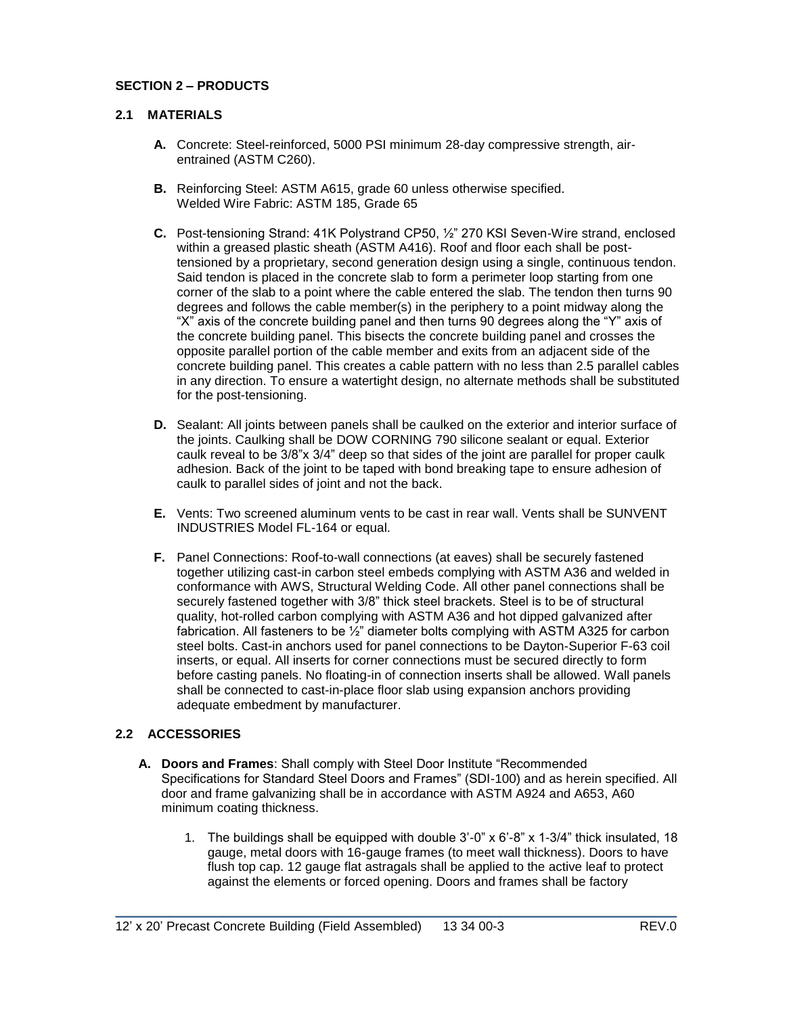# **SECTION 2 – PRODUCTS**

## **2.1 MATERIALS**

- **A.** Concrete: Steel-reinforced, 5000 PSI minimum 28-day compressive strength, airentrained (ASTM C260).
- **B.** Reinforcing Steel: ASTM A615, grade 60 unless otherwise specified. Welded Wire Fabric: ASTM 185, Grade 65
- **C.** Post-tensioning Strand: 41K Polystrand CP50, ½" 270 KSI Seven-Wire strand, enclosed within a greased plastic sheath (ASTM A416). Roof and floor each shall be posttensioned by a proprietary, second generation design using a single, continuous tendon. Said tendon is placed in the concrete slab to form a perimeter loop starting from one corner of the slab to a point where the cable entered the slab. The tendon then turns 90 degrees and follows the cable member(s) in the periphery to a point midway along the "X" axis of the concrete building panel and then turns 90 degrees along the "Y" axis of the concrete building panel. This bisects the concrete building panel and crosses the opposite parallel portion of the cable member and exits from an adjacent side of the concrete building panel. This creates a cable pattern with no less than 2.5 parallel cables in any direction. To ensure a watertight design, no alternate methods shall be substituted for the post-tensioning.
- **D.** Sealant: All joints between panels shall be caulked on the exterior and interior surface of the joints. Caulking shall be DOW CORNING 790 silicone sealant or equal. Exterior caulk reveal to be 3/8"x 3/4" deep so that sides of the joint are parallel for proper caulk adhesion. Back of the joint to be taped with bond breaking tape to ensure adhesion of caulk to parallel sides of joint and not the back.
- **E.** Vents: Two screened aluminum vents to be cast in rear wall. Vents shall be SUNVENT INDUSTRIES Model FL-164 or equal.
- **F.** Panel Connections: Roof-to-wall connections (at eaves) shall be securely fastened together utilizing cast-in carbon steel embeds complying with ASTM A36 and welded in conformance with AWS, Structural Welding Code. All other panel connections shall be securely fastened together with 3/8" thick steel brackets. Steel is to be of structural quality, hot-rolled carbon complying with ASTM A36 and hot dipped galvanized after fabrication. All fasteners to be ½" diameter bolts complying with ASTM A325 for carbon steel bolts. Cast-in anchors used for panel connections to be Dayton-Superior F-63 coil inserts, or equal. All inserts for corner connections must be secured directly to form before casting panels. No floating-in of connection inserts shall be allowed. Wall panels shall be connected to cast-in-place floor slab using expansion anchors providing adequate embedment by manufacturer.

## **2.2 ACCESSORIES**

**A. Doors and Frames**: Shall comply with Steel Door Institute "Recommended Specifications for Standard Steel Doors and Frames" (SDI-100) and as herein specified. All door and frame galvanizing shall be in accordance with ASTM A924 and A653, A60 minimum coating thickness.

\_\_\_\_\_\_\_\_\_\_\_\_\_\_\_\_\_\_\_\_\_\_\_\_\_\_\_\_\_\_\_\_\_\_\_\_\_\_\_\_\_\_\_\_\_\_\_\_\_\_\_\_\_\_\_\_\_\_\_\_\_\_\_\_\_\_\_\_\_\_\_\_\_

1. The buildings shall be equipped with double 3'-0" x 6'-8" x 1-3/4" thick insulated, 18 gauge, metal doors with 16-gauge frames (to meet wall thickness). Doors to have flush top cap. 12 gauge flat astragals shall be applied to the active leaf to protect against the elements or forced opening. Doors and frames shall be factory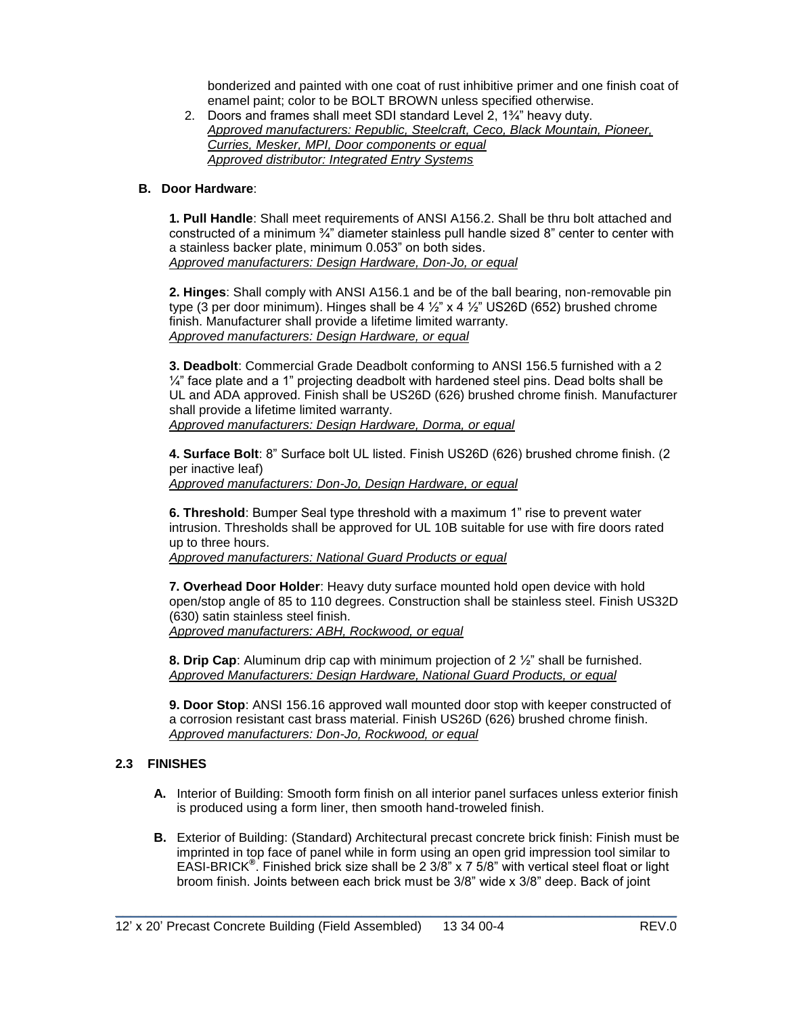bonderized and painted with one coat of rust inhibitive primer and one finish coat of enamel paint; color to be BOLT BROWN unless specified otherwise.

2. Doors and frames shall meet SDI standard Level 2, 1¾" heavy duty. *Approved manufacturers: Republic, Steelcraft, Ceco, Black Mountain, Pioneer, Curries, Mesker, MPI, Door components or equal Approved distributor: Integrated Entry Systems*

#### **B. Door Hardware**:

**1. Pull Handle**: Shall meet requirements of ANSI A156.2. Shall be thru bolt attached and constructed of a minimum  $\frac{3}{4}$ " diameter stainless pull handle sized 8" center to center with a stainless backer plate, minimum 0.053" on both sides. *Approved manufacturers: Design Hardware, Don-Jo, or equal*

**2. Hinges**: Shall comply with ANSI A156.1 and be of the ball bearing, non-removable pin type (3 per door minimum). Hinges shall be  $4\frac{1}{2}$  x  $4\frac{1}{2}$  US26D (652) brushed chrome finish. Manufacturer shall provide a lifetime limited warranty. *Approved manufacturers: Design Hardware, or equal*

**3. Deadbolt**: Commercial Grade Deadbolt conforming to ANSI 156.5 furnished with a 2  $\frac{1}{4}$ " face plate and a 1" projecting deadbolt with hardened steel pins. Dead bolts shall be UL and ADA approved. Finish shall be US26D (626) brushed chrome finish. Manufacturer shall provide a lifetime limited warranty. *Approved manufacturers: Design Hardware, Dorma, or equal*

**4. Surface Bolt**: 8" Surface bolt UL listed. Finish US26D (626) brushed chrome finish. (2 per inactive leaf) *Approved manufacturers: Don-Jo, Design Hardware, or equal*

**6. Threshold**: Bumper Seal type threshold with a maximum 1" rise to prevent water intrusion. Thresholds shall be approved for UL 10B suitable for use with fire doors rated up to three hours.

*Approved manufacturers: National Guard Products or equal* 

**7. Overhead Door Holder**: Heavy duty surface mounted hold open device with hold open/stop angle of 85 to 110 degrees. Construction shall be stainless steel. Finish US32D (630) satin stainless steel finish. *Approved manufacturers: ABH, Rockwood, or equal*

**8. Drip Cap**: Aluminum drip cap with minimum projection of 2 ½" shall be furnished. *Approved Manufacturers: Design Hardware, National Guard Products, or equal*

**9. Door Stop**: ANSI 156.16 approved wall mounted door stop with keeper constructed of a corrosion resistant cast brass material. Finish US26D (626) brushed chrome finish. *Approved manufacturers: Don-Jo, Rockwood, or equal*

## **2.3 FINISHES**

- **A.** Interior of Building: Smooth form finish on all interior panel surfaces unless exterior finish is produced using a form liner, then smooth hand-troweled finish.
- **B.** Exterior of Building: (Standard) Architectural precast concrete brick finish: Finish must be imprinted in top face of panel while in form using an open grid impression tool similar to EASI-BRICK**®** . Finished brick size shall be 2 3/8" x 7 5/8" with vertical steel float or light broom finish. Joints between each brick must be 3/8" wide x 3/8" deep. Back of joint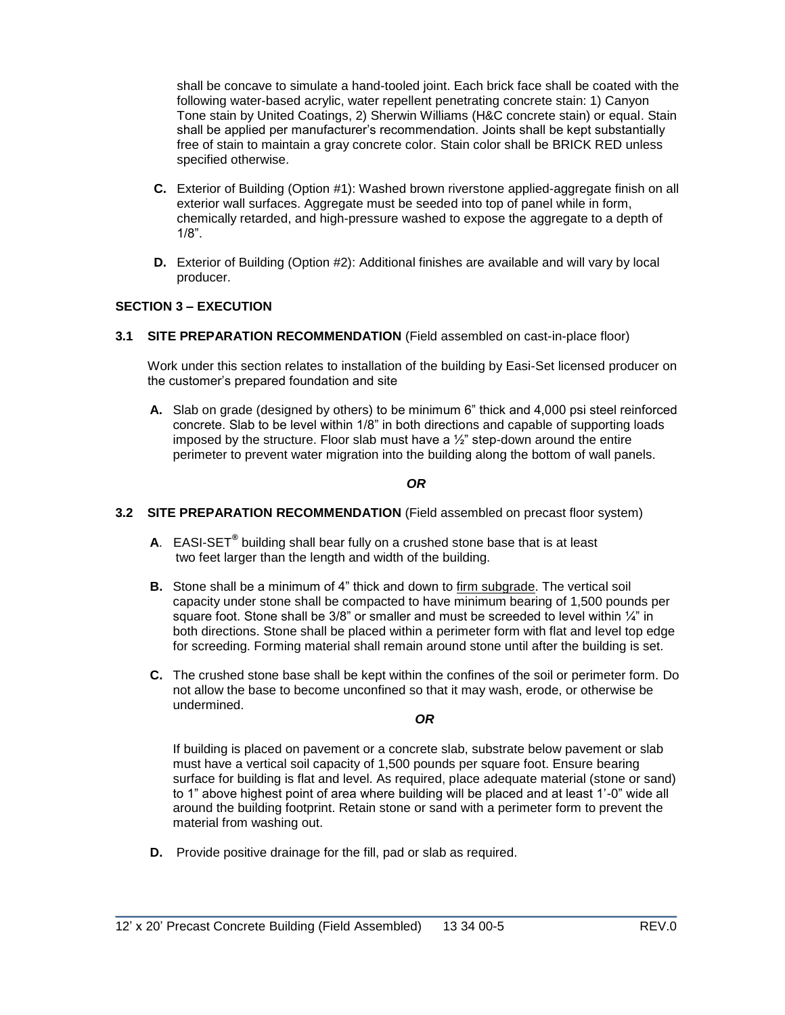shall be concave to simulate a hand-tooled joint. Each brick face shall be coated with the following water-based acrylic, water repellent penetrating concrete stain: 1) Canyon Tone stain by United Coatings, 2) Sherwin Williams (H&C concrete stain) or equal. Stain shall be applied per manufacturer's recommendation. Joints shall be kept substantially free of stain to maintain a gray concrete color. Stain color shall be BRICK RED unless specified otherwise.

- **C.** Exterior of Building (Option #1): Washed brown riverstone applied-aggregate finish on all exterior wall surfaces. Aggregate must be seeded into top of panel while in form, chemically retarded, and high-pressure washed to expose the aggregate to a depth of 1/8".
- **D.** Exterior of Building (Option #2): Additional finishes are available and will vary by local producer.

## **SECTION 3 – EXECUTION**

**3.1 SITE PREPARATION RECOMMENDATION** (Field assembled on cast-in-place floor)

Work under this section relates to installation of the building by Easi-Set licensed producer on the customer's prepared foundation and site

**A.** Slab on grade (designed by others) to be minimum 6" thick and 4,000 psi steel reinforced concrete. Slab to be level within 1/8" in both directions and capable of supporting loads imposed by the structure. Floor slab must have a ½" step-down around the entire perimeter to prevent water migration into the building along the bottom of wall panels.

#### *OR*

#### **3.2 SITE PREPARATION RECOMMENDATION** (Field assembled on precast floor system)

- **A**. EASI-SET**®** building shall bear fully on a crushed stone base that is at least two feet larger than the length and width of the building.
- **B.** Stone shall be a minimum of 4" thick and down to firm subgrade. The vertical soil capacity under stone shall be compacted to have minimum bearing of 1,500 pounds per square foot. Stone shall be 3/8" or smaller and must be screeded to level within 1/4" in both directions. Stone shall be placed within a perimeter form with flat and level top edge for screeding. Forming material shall remain around stone until after the building is set.
- **C.** The crushed stone base shall be kept within the confines of the soil or perimeter form. Do not allow the base to become unconfined so that it may wash, erode, or otherwise be undermined.

#### *OR*

If building is placed on pavement or a concrete slab, substrate below pavement or slab must have a vertical soil capacity of 1,500 pounds per square foot. Ensure bearing surface for building is flat and level. As required, place adequate material (stone or sand) to 1" above highest point of area where building will be placed and at least 1'-0" wide all around the building footprint. Retain stone or sand with a perimeter form to prevent the material from washing out.

\_\_\_\_\_\_\_\_\_\_\_\_\_\_\_\_\_\_\_\_\_\_\_\_\_\_\_\_\_\_\_\_\_\_\_\_\_\_\_\_\_\_\_\_\_\_\_\_\_\_\_\_\_\_\_\_\_\_\_\_\_\_\_\_\_\_\_\_\_\_\_\_\_

**D.** Provide positive drainage for the fill, pad or slab as required.